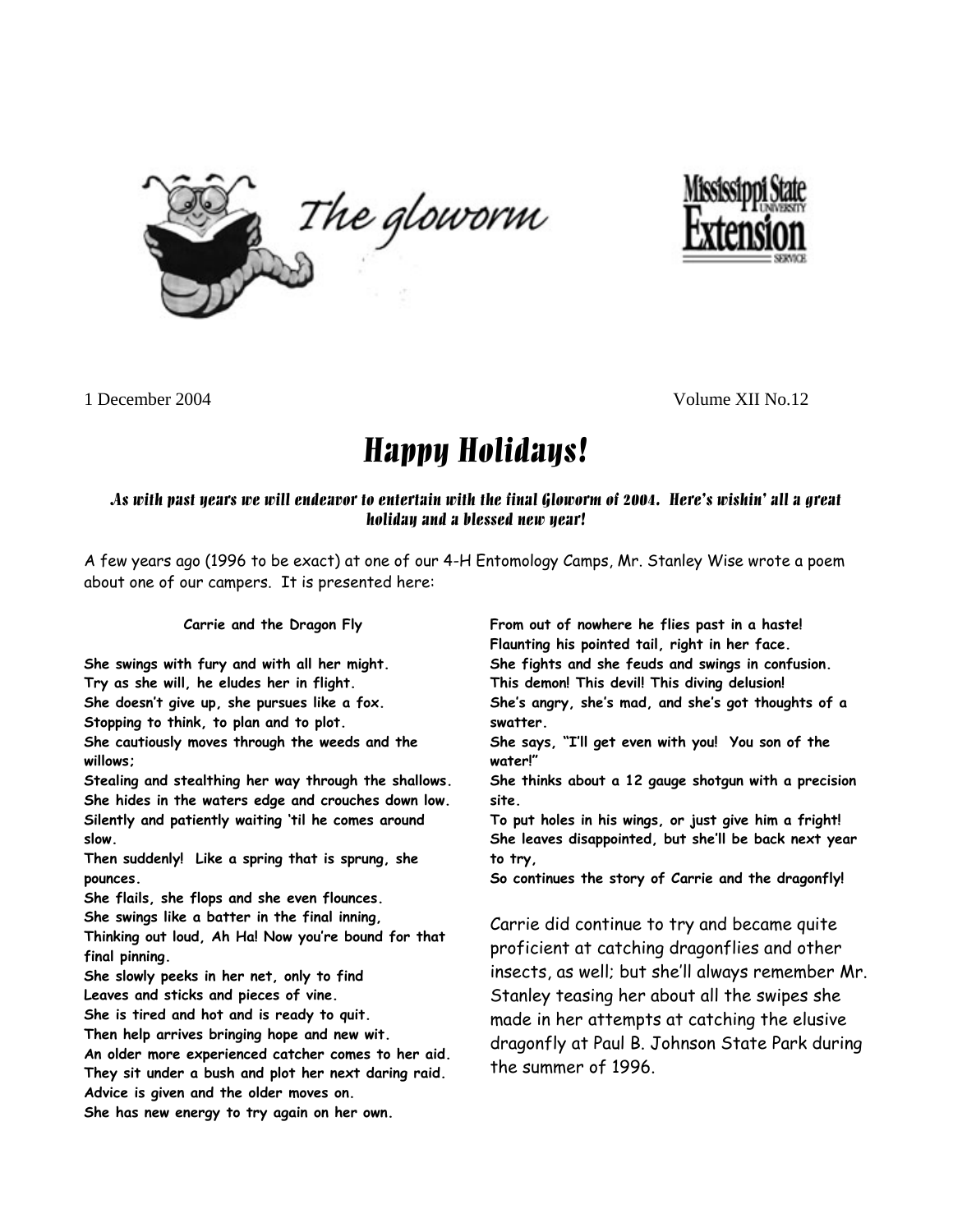



1 December 2004 Volume XII No.12

# Happy Holidays!

## As with past years we will endeavor to entertain with the final Gloworm of 2004. Here's wishin' all a great holiday and a blessed new year!

A few years ago (1996 to be exact) at one of our 4-H Entomology Camps, Mr. Stanley Wise wrote a poem about one of our campers. It is presented here:

**Carrie and the Dragon Fly** 

**She swings with fury and with all her might. Try as she will, he eludes her in flight. She doesn't give up, she pursues like a fox.** 

**Stopping to think, to plan and to plot.** 

**She cautiously moves through the weeds and the willows;** 

**Stealing and stealthing her way through the shallows. She hides in the waters edge and crouches down low. Silently and patiently waiting 'til he comes around slow.** 

**Then suddenly! Like a spring that is sprung, she pounces.** 

**She flails, she flops and she even flounces.** 

**She swings like a batter in the final inning,** 

**Thinking out loud, Ah Ha! Now you're bound for that final pinning.** 

**She slowly peeks in her net, only to find Leaves and sticks and pieces of vine.** 

**She is tired and hot and is ready to quit.** 

**Then help arrives bringing hope and new wit.** 

**An older more experienced catcher comes to her aid. They sit under a bush and plot her next daring raid. Advice is given and the older moves on.** 

**She has new energy to try again on her own.** 

**From out of nowhere he flies past in a haste! Flaunting his pointed tail, right in her face. She fights and she feuds and swings in confusion. This demon! This devil! This diving delusion! She's angry, she's mad, and she's got thoughts of a swatter.** 

**She says, "I'll get even with you! You son of the water!"** 

**She thinks about a 12 gauge shotgun with a precision site.** 

**To put holes in his wings, or just give him a fright! She leaves disappointed, but she'll be back next year to try,** 

**So continues the story of Carrie and the dragonfly!** 

Carrie did continue to try and became quite proficient at catching dragonflies and other insects, as well; but she'll always remember Mr. Stanley teasing her about all the swipes she made in her attempts at catching the elusive dragonfly at Paul B. Johnson State Park during the summer of 1996.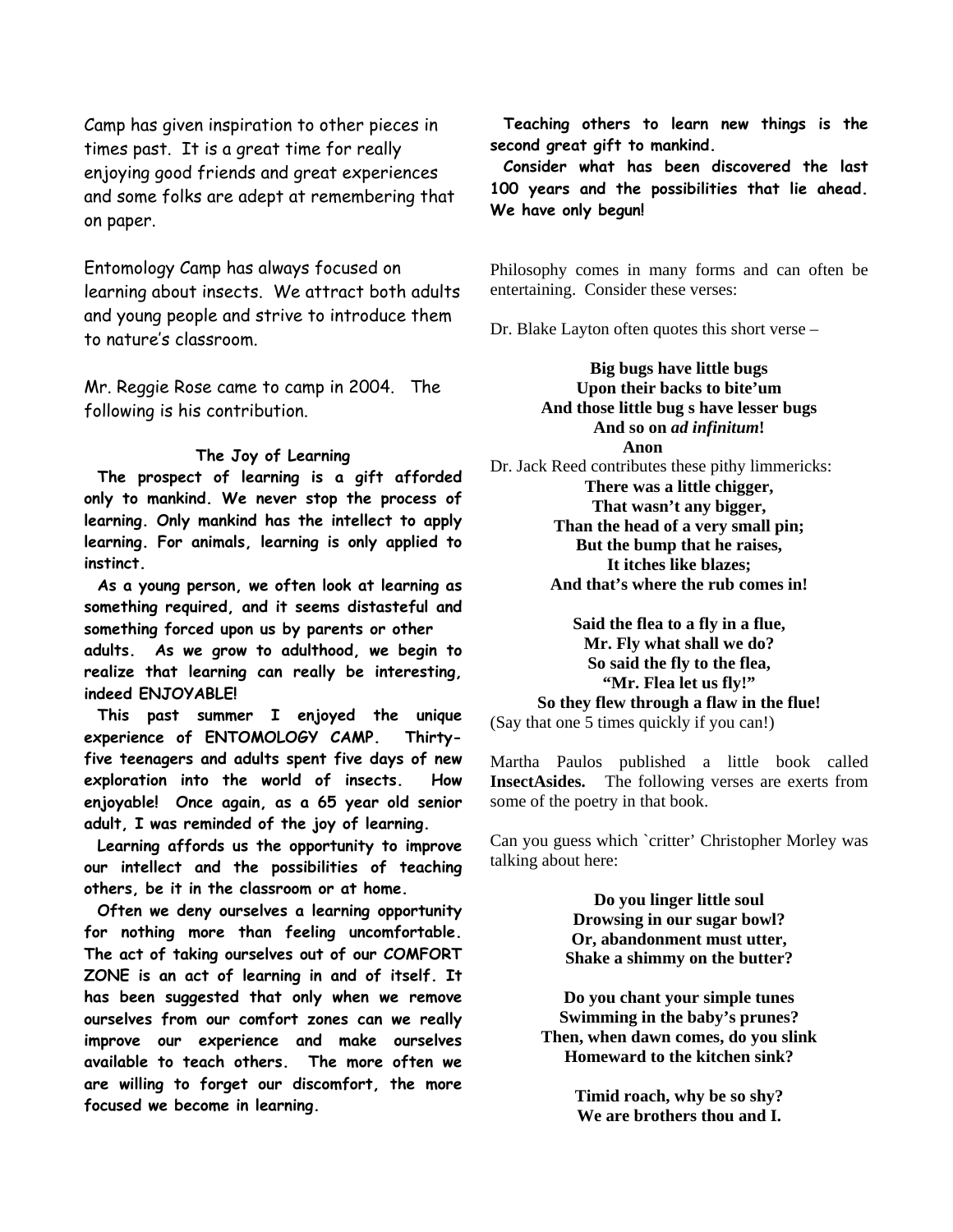Camp has given inspiration to other pieces in times past. It is a great time for really enjoying good friends and great experiences and some folks are adept at remembering that on paper.

Entomology Camp has always focused on learning about insects. We attract both adults and young people and strive to introduce them to nature's classroom.

Mr. Reggie Rose came to camp in 2004. The following is his contribution.

#### **The Joy of Learning**

 **The prospect of learning is a gift afforded only to mankind. We never stop the process of learning. Only mankind has the intellect to apply learning. For animals, learning is only applied to instinct.** 

 **As a young person, we often look at learning as something required, and it seems distasteful and something forced upon us by parents or other adults. As we grow to adulthood, we begin to realize that learning can really be interesting, indeed ENJOYABLE!** 

 **This past summer I enjoyed the unique experience of ENTOMOLOGY CAMP. Thirtyfive teenagers and adults spent five days of new exploration into the world of insects. How enjoyable! Once again, as a 65 year old senior adult, I was reminded of the joy of learning.** 

 **Learning affords us the opportunity to improve our intellect and the possibilities of teaching others, be it in the classroom or at home.** 

 **Often we deny ourselves a learning opportunity for nothing more than feeling uncomfortable. The act of taking ourselves out of our COMFORT ZONE is an act of learning in and of itself. It has been suggested that only when we remove ourselves from our comfort zones can we really improve our experience and make ourselves available to teach others. The more often we are willing to forget our discomfort, the more focused we become in learning.** 

 **Teaching others to learn new things is the second great gift to mankind.** 

 **Consider what has been discovered the last 100 years and the possibilities that lie ahead. We have only begun!**

Philosophy comes in many forms and can often be entertaining. Consider these verses:

Dr. Blake Layton often quotes this short verse –

**Big bugs have little bugs Upon their backs to bite'um And those little bug s have lesser bugs And so on** *ad infinitum***! Anon** 

Dr. Jack Reed contributes these pithy limmericks: **There was a little chigger, That wasn't any bigger,** 

**Than the head of a very small pin; But the bump that he raises, It itches like blazes; And that's where the rub comes in!** 

**Said the flea to a fly in a flue, Mr. Fly what shall we do? So said the fly to the flea, "Mr. Flea let us fly!" So they flew through a flaw in the flue!**  (Say that one 5 times quickly if you can!)

Martha Paulos published a little book called **InsectAsides.** The following verses are exerts from some of the poetry in that book.

Can you guess which `critter' Christopher Morley was talking about here:

> **Do you linger little soul Drowsing in our sugar bowl? Or, abandonment must utter, Shake a shimmy on the butter?**

**Do you chant your simple tunes Swimming in the baby's prunes? Then, when dawn comes, do you slink Homeward to the kitchen sink?** 

> **Timid roach, why be so shy? We are brothers thou and I.**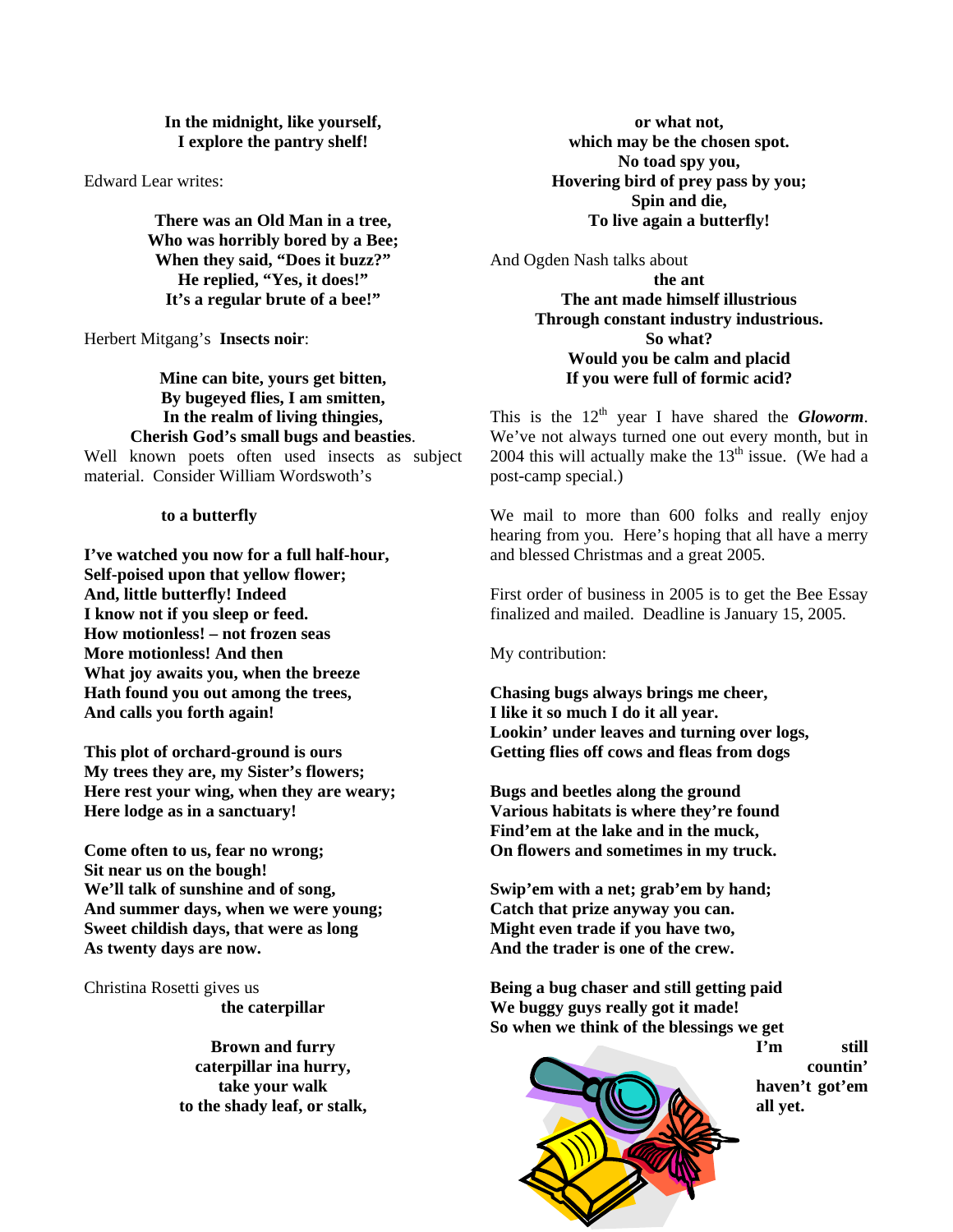### **In the midnight, like yourself, I explore the pantry shelf!**

Edward Lear writes:

**There was an Old Man in a tree, Who was horribly bored by a Bee; When they said, "Does it buzz?" He replied, "Yes, it does!" It's a regular brute of a bee!"** 

Herbert Mitgang's **Insects noir**:

**Mine can bite, yours get bitten, By bugeyed flies, I am smitten, In the realm of living thingies, Cherish God's small bugs and beasties**. Well known poets often used insects as subject material. Consider William Wordswoth's

#### **to a butterfly**

**I've watched you now for a full half-hour, Self-poised upon that yellow flower; And, little butterfly! Indeed I know not if you sleep or feed. How motionless! – not frozen seas More motionless! And then What joy awaits you, when the breeze Hath found you out among the trees, And calls you forth again!** 

**This plot of orchard-ground is ours My trees they are, my Sister's flowers; Here rest your wing, when they are weary; Here lodge as in a sanctuary!** 

**Come often to us, fear no wrong; Sit near us on the bough! We'll talk of sunshine and of song, And summer days, when we were young; Sweet childish days, that were as long As twenty days are now.** 

Christina Rosetti gives us **the caterpillar** 

> **Brown and furry caterpillar ina hurry, take your walk to the shady leaf, or stalk,**

**or what not, which may be the chosen spot. No toad spy you, Hovering bird of prey pass by you; Spin and die, To live again a butterfly!** 

And Ogden Nash talks about

**the ant The ant made himself illustrious Through constant industry industrious. So what? Would you be calm and placid If you were full of formic acid?** 

This is the  $12<sup>th</sup>$  year I have shared the *Gloworm*. We've not always turned one out every month, but in 2004 this will actually make the  $13<sup>th</sup>$  issue. (We had a post-camp special.)

We mail to more than 600 folks and really enjoy hearing from you. Here's hoping that all have a merry and blessed Christmas and a great 2005.

First order of business in 2005 is to get the Bee Essay finalized and mailed. Deadline is January 15, 2005.

My contribution:

**Chasing bugs always brings me cheer, I like it so much I do it all year. Lookin' under leaves and turning over logs, Getting flies off cows and fleas from dogs** 

**Bugs and beetles along the ground Various habitats is where they're found Find'em at the lake and in the muck, On flowers and sometimes in my truck.** 

**Swip'em with a net; grab'em by hand; Catch that prize anyway you can. Might even trade if you have two, And the trader is one of the crew.** 

**Being a bug chaser and still getting paid We buggy guys really got it made! So when we think of the blessings we get** 



**I'm still countin' haven't got'em all yet.**